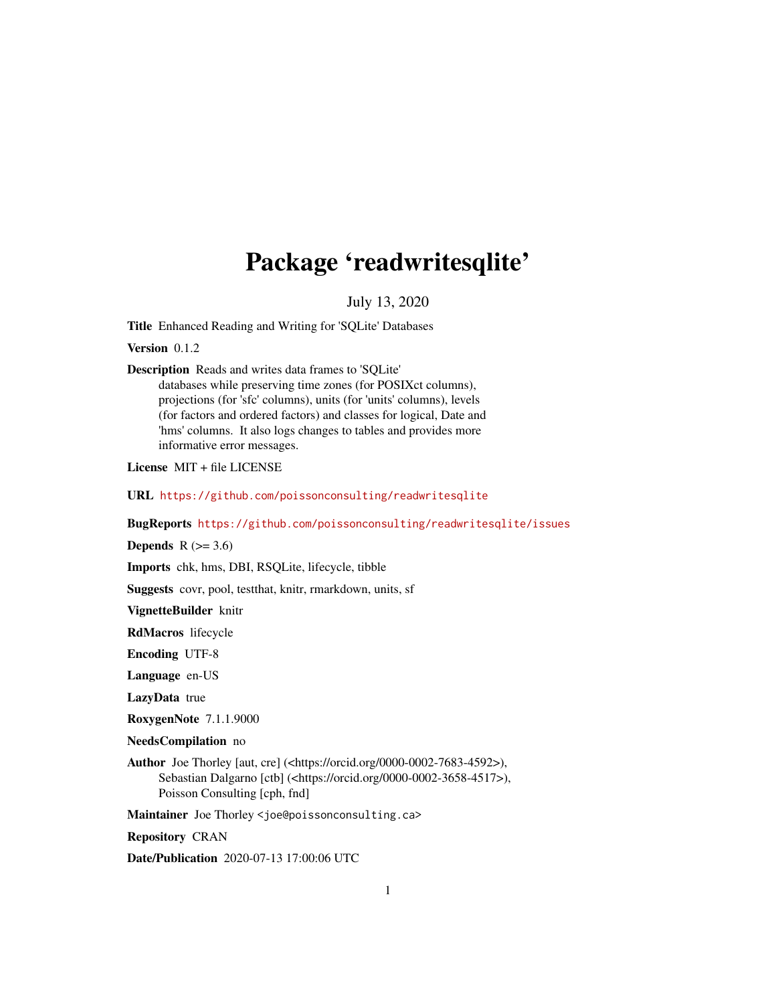# Package 'readwritesqlite'

July 13, 2020

<span id="page-0-0"></span>Title Enhanced Reading and Writing for 'SQLite' Databases

Version 0.1.2

Description Reads and writes data frames to 'SQLite'

databases while preserving time zones (for POSIXct columns), projections (for 'sfc' columns), units (for 'units' columns), levels (for factors and ordered factors) and classes for logical, Date and 'hms' columns. It also logs changes to tables and provides more informative error messages.

License MIT + file LICENSE

URL <https://github.com/poissonconsulting/readwritesqlite>

BugReports <https://github.com/poissonconsulting/readwritesqlite/issues>

Depends  $R$  ( $>= 3.6$ )

Imports chk, hms, DBI, RSQLite, lifecycle, tibble

Suggests covr, pool, testthat, knitr, rmarkdown, units, sf

VignetteBuilder knitr

RdMacros lifecycle

Encoding UTF-8

Language en-US

LazyData true

RoxygenNote 7.1.1.9000

NeedsCompilation no

Author Joe Thorley [aut, cre] (<https://orcid.org/0000-0002-7683-4592>), Sebastian Dalgarno [ctb] (<https://orcid.org/0000-0002-3658-4517>), Poisson Consulting [cph, fnd]

Maintainer Joe Thorley <joe@poissonconsulting.ca>

Repository CRAN

Date/Publication 2020-07-13 17:00:06 UTC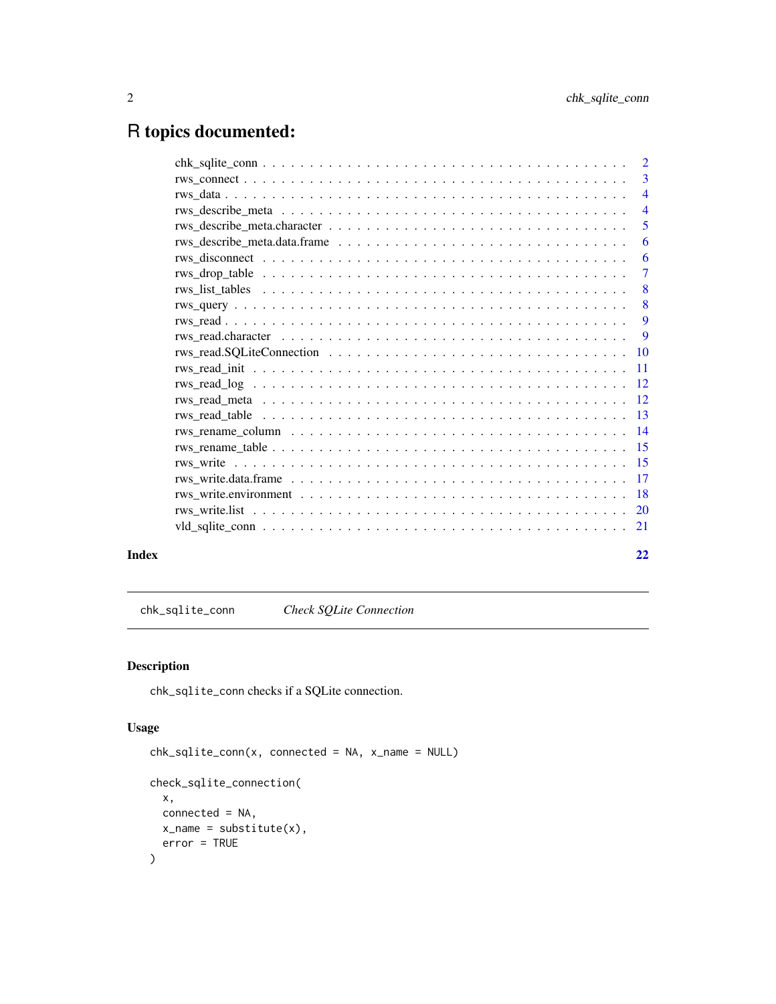## <span id="page-1-0"></span>R topics documented:

|       | $\overline{4}$ |
|-------|----------------|
|       | $\overline{5}$ |
|       | -6             |
|       |                |
|       |                |
|       |                |
|       |                |
|       |                |
|       |                |
|       |                |
|       |                |
|       |                |
|       |                |
|       |                |
|       |                |
|       |                |
|       |                |
|       |                |
|       |                |
|       |                |
|       |                |
| Index | 22             |

chk\_sqlite\_conn *Check SQLite Connection*

#### Description

chk\_sqlite\_conn checks if a SQLite connection.

#### Usage

```
chk_sqlite_conn(x, connected = NA, x_name = NULL)
check_sqlite_connection(
 x,
 connected = NA,
 x_name = substitute(x),
 error = TRUE
\mathcal{L}
```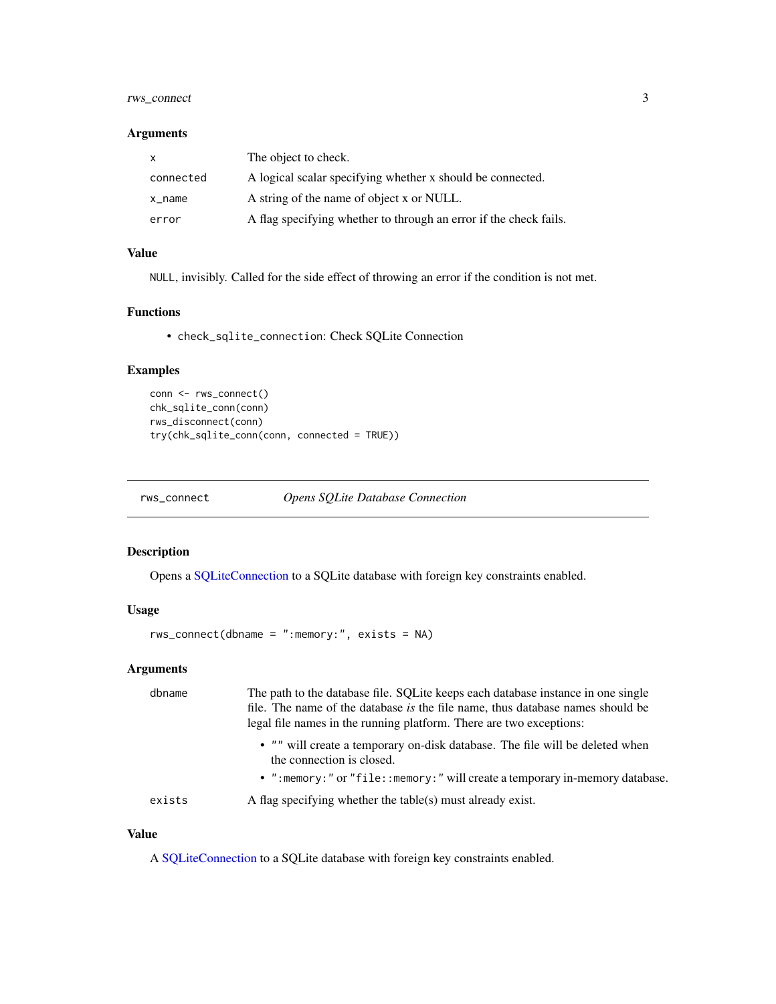#### <span id="page-2-0"></span>rws\_connect 3

#### Arguments

| $\mathsf{x}$ | The object to check.                                              |
|--------------|-------------------------------------------------------------------|
| connected    | A logical scalar specifying whether x should be connected.        |
| x_name       | A string of the name of object x or NULL.                         |
| error        | A flag specifying whether to through an error if the check fails. |

#### Value

NULL, invisibly. Called for the side effect of throwing an error if the condition is not met.

#### Functions

• check\_sqlite\_connection: Check SQLite Connection

#### Examples

```
conn <- rws_connect()
chk_sqlite_conn(conn)
rws_disconnect(conn)
try(chk_sqlite_conn(conn, connected = TRUE))
```
<span id="page-2-1"></span>rws\_connect *Opens SQLite Database Connection*

#### Description

Opens a [SQLiteConnection](#page-0-0) to a SQLite database with foreign key constraints enabled.

#### Usage

```
rws_connect(dbname = ":memory:", exists = NA)
```
#### Arguments

| dbname | The path to the database file. SQLite keeps each database instance in one single<br>file. The name of the database is the file name, thus database names should be<br>legal file names in the running platform. There are two exceptions: |
|--------|-------------------------------------------------------------------------------------------------------------------------------------------------------------------------------------------------------------------------------------------|
|        | • "" will create a temporary on-disk database. The file will be deleted when<br>the connection is closed.                                                                                                                                 |
|        | • ": memory: " or "file:: memory: " will create a temporary in-memory database.                                                                                                                                                           |
| exists | A flag specifying whether the table(s) must already exist.                                                                                                                                                                                |

#### Value

A [SQLiteConnection](#page-0-0) to a SQLite database with foreign key constraints enabled.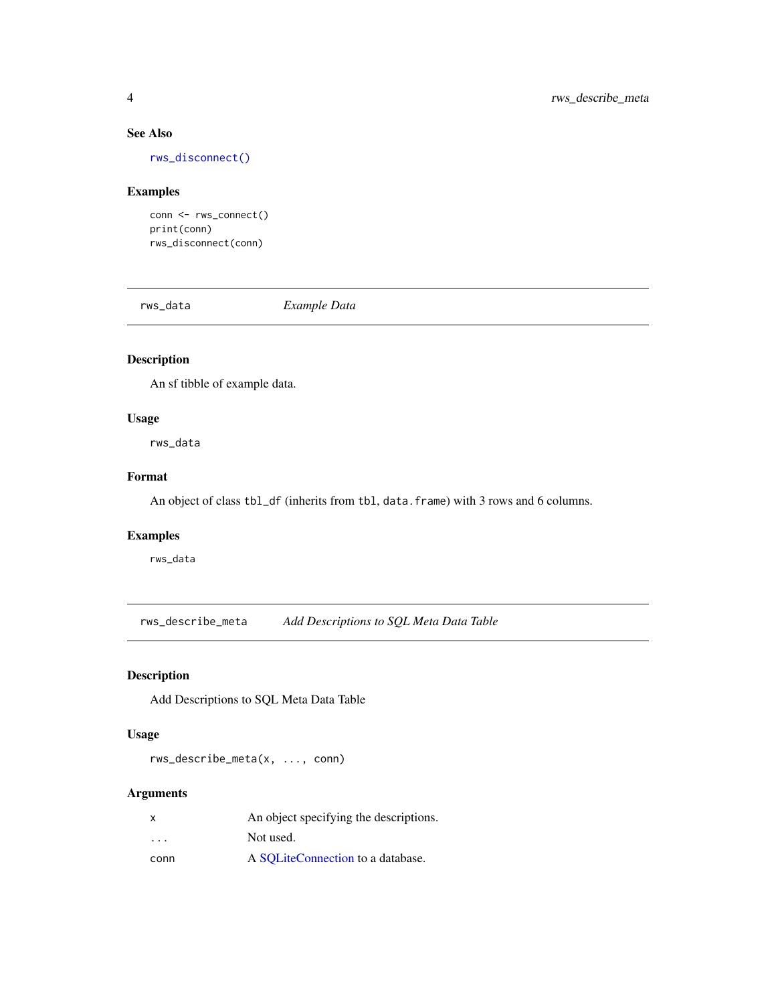#### See Also

[rws\\_disconnect\(\)](#page-5-1)

#### Examples

conn <- rws\_connect() print(conn) rws\_disconnect(conn)

rws\_data *Example Data*

#### Description

An sf tibble of example data.

#### Usage

rws\_data

#### Format

An object of class tbl\_df (inherits from tbl, data.frame) with 3 rows and 6 columns.

#### Examples

rws\_data

<span id="page-3-1"></span>rws\_describe\_meta *Add Descriptions to SQL Meta Data Table*

#### Description

Add Descriptions to SQL Meta Data Table

#### Usage

rws\_describe\_meta(x, ..., conn)

#### Arguments

| x                       | An object specifying the descriptions. |
|-------------------------|----------------------------------------|
| $\cdot$ $\cdot$ $\cdot$ | Not used.                              |
| conn                    | A SOLiteConnection to a database.      |

<span id="page-3-0"></span>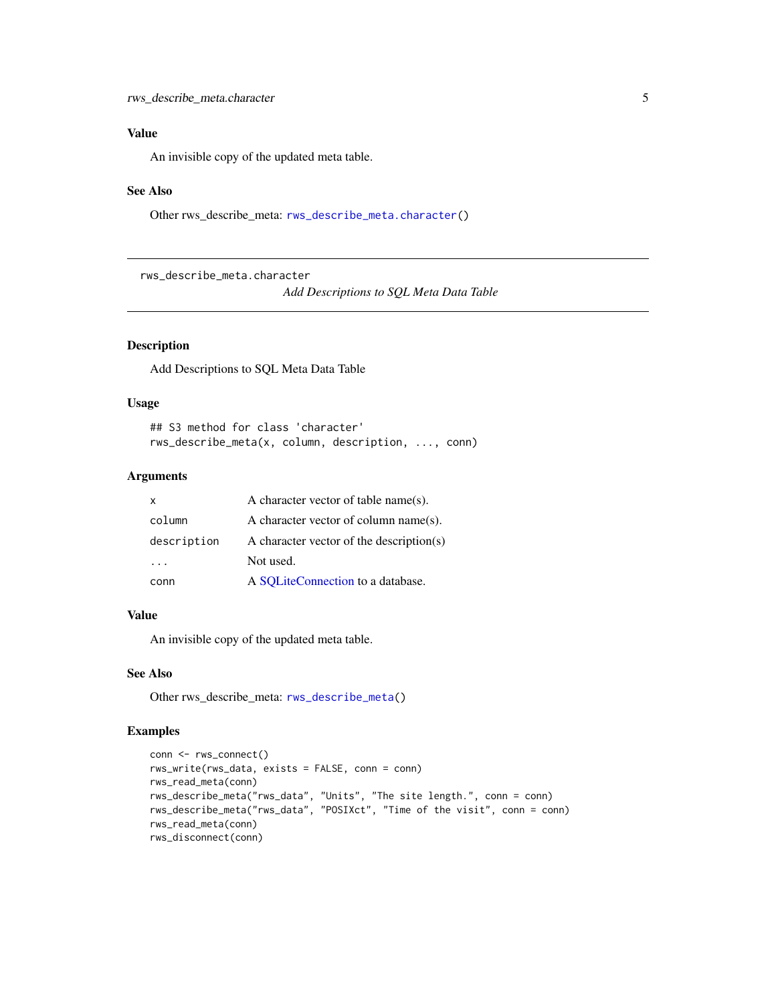#### <span id="page-4-0"></span>Value

An invisible copy of the updated meta table.

#### See Also

Other rws\_describe\_meta: [rws\\_describe\\_meta.character\(](#page-4-1))

<span id="page-4-1"></span>rws\_describe\_meta.character

*Add Descriptions to SQL Meta Data Table*

#### Description

Add Descriptions to SQL Meta Data Table

#### Usage

```
## S3 method for class 'character'
rws_describe_meta(x, column, description, ..., conn)
```
#### Arguments

| X           | A character vector of table name(s).     |
|-------------|------------------------------------------|
| column      | A character vector of column name(s).    |
| description | A character vector of the description(s) |
|             | Not used.                                |
| conn        | A SQLiteConnection to a database.        |

#### Value

An invisible copy of the updated meta table.

#### See Also

Other rws\_describe\_meta: [rws\\_describe\\_meta\(](#page-3-1))

```
conn <- rws_connect()
rws_write(rws_data, exists = FALSE, conn = conn)
rws_read_meta(conn)
rws_describe_meta("rws_data", "Units", "The site length.", conn = conn)
rws_describe_meta("rws_data", "POSIXct", "Time of the visit", conn = conn)
rws_read_meta(conn)
rws_disconnect(conn)
```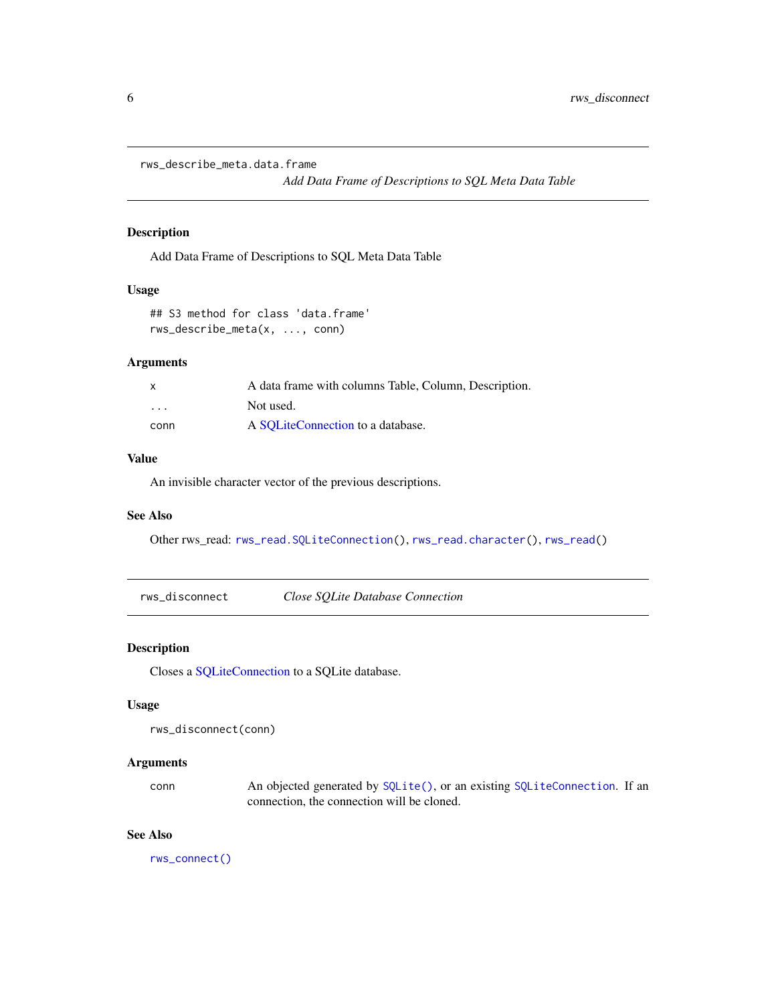<span id="page-5-2"></span><span id="page-5-0"></span>rws\_describe\_meta.data.frame

*Add Data Frame of Descriptions to SQL Meta Data Table*

#### Description

Add Data Frame of Descriptions to SQL Meta Data Table

#### Usage

## S3 method for class 'data.frame' rws\_describe\_meta(x, ..., conn)

#### Arguments

| X                       | A data frame with columns Table, Column, Description. |
|-------------------------|-------------------------------------------------------|
| $\cdot$ $\cdot$ $\cdot$ | Not used.                                             |
| conn                    | A SOLiteConnection to a database.                     |

#### Value

An invisible character vector of the previous descriptions.

#### See Also

Other rws\_read: [rws\\_read.SQLiteConnection\(](#page-9-1)), [rws\\_read.character\(](#page-8-1)), [rws\\_read\(](#page-8-2))

<span id="page-5-1"></span>rws\_disconnect *Close SQLite Database Connection*

#### Description

Closes a [SQLiteConnection](#page-0-0) to a SQLite database.

#### Usage

```
rws_disconnect(conn)
```
#### Arguments

conn An objected generated by [SQLite\(\)](#page-0-0), or an existing [SQLiteConnection](#page-0-0). If an connection, the connection will be cloned.

#### See Also

[rws\\_connect\(\)](#page-2-1)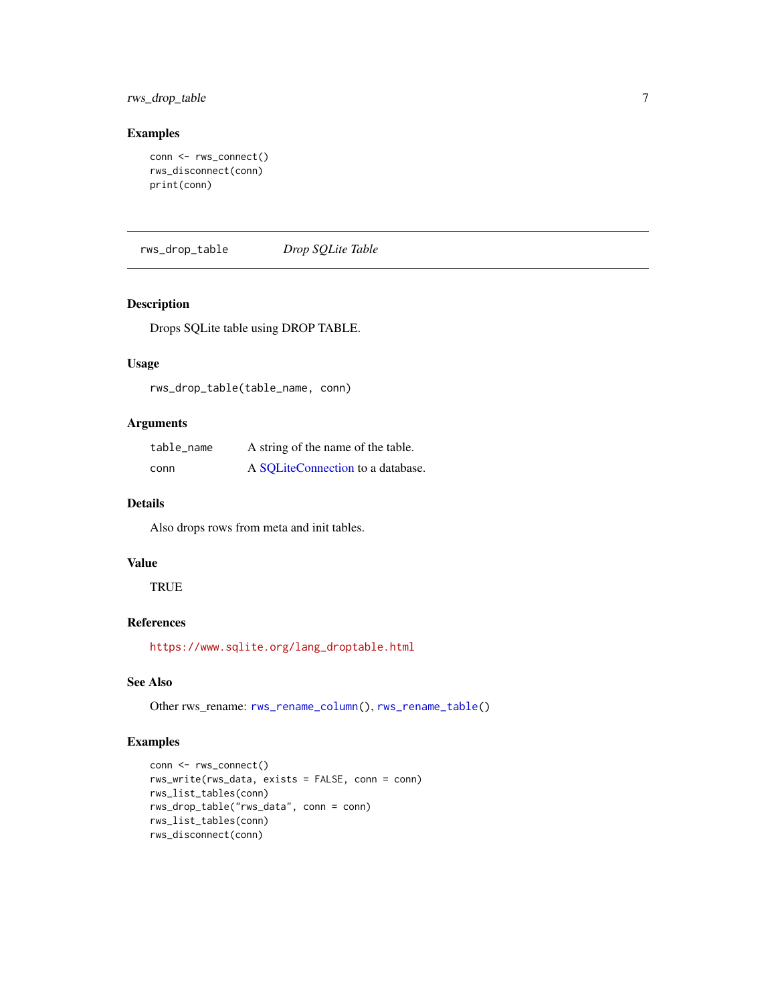<span id="page-6-0"></span>rws\_drop\_table 7

#### Examples

```
conn <- rws_connect()
rws_disconnect(conn)
print(conn)
```
<span id="page-6-1"></span>rws\_drop\_table *Drop SQLite Table*

#### Description

Drops SQLite table using DROP TABLE.

#### Usage

rws\_drop\_table(table\_name, conn)

#### Arguments

| table_name | A string of the name of the table. |
|------------|------------------------------------|
| conn       | A SQLiteConnection to a database.  |

#### Details

Also drops rows from meta and init tables.

#### Value

**TRUE** 

#### References

[https://www.sqlite.org/lang\\_droptable.html](https://www.sqlite.org/lang_droptable.html)

#### See Also

Other rws\_rename: [rws\\_rename\\_column\(](#page-13-1)), [rws\\_rename\\_table\(](#page-14-1))

```
conn <- rws_connect()
rws_write(rws_data, exists = FALSE, conn = conn)
rws_list_tables(conn)
rws_drop_table("rws_data", conn = conn)
rws_list_tables(conn)
rws_disconnect(conn)
```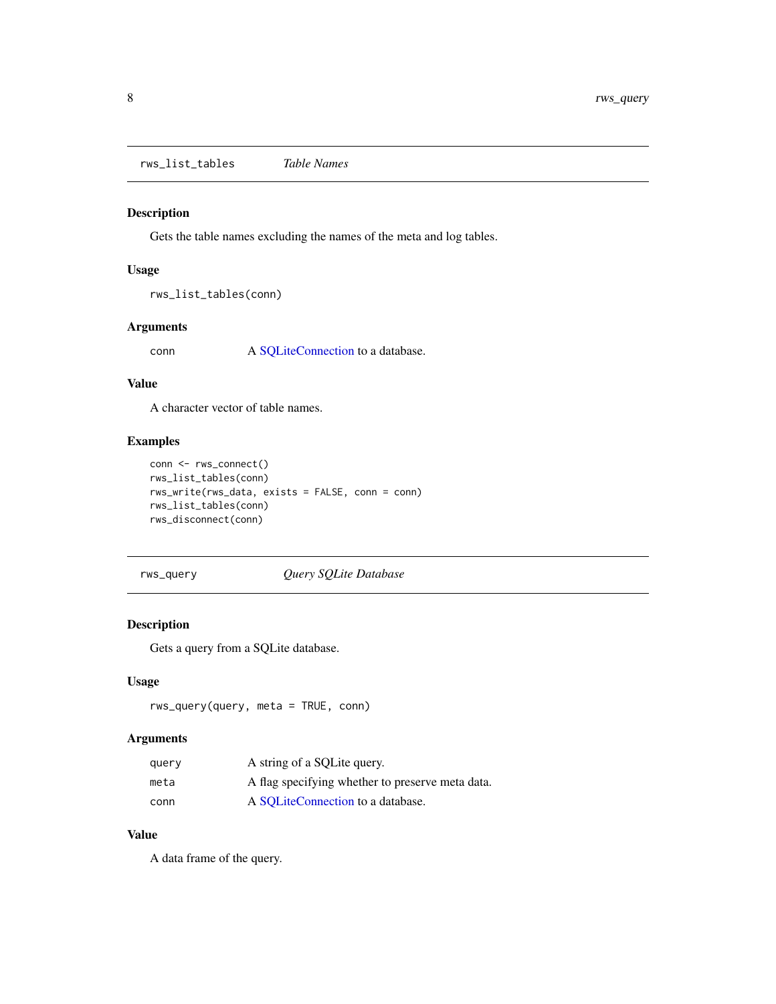<span id="page-7-0"></span>rws\_list\_tables *Table Names*

#### Description

Gets the table names excluding the names of the meta and log tables.

#### Usage

```
rws_list_tables(conn)
```
#### Arguments

conn A [SQLiteConnection](#page-0-0) to a database.

#### Value

A character vector of table names.

#### Examples

```
conn <- rws_connect()
rws_list_tables(conn)
rws_write(rws_data, exists = FALSE, conn = conn)
rws_list_tables(conn)
rws_disconnect(conn)
```
#### rws\_query *Query SQLite Database*

#### Description

Gets a query from a SQLite database.

#### Usage

```
rws_query(query, meta = TRUE, conn)
```
#### Arguments

| query | A string of a SQLite query.                      |
|-------|--------------------------------------------------|
| meta  | A flag specifying whether to preserve meta data. |
| conn  | A SOLiteConnection to a database.                |

#### Value

A data frame of the query.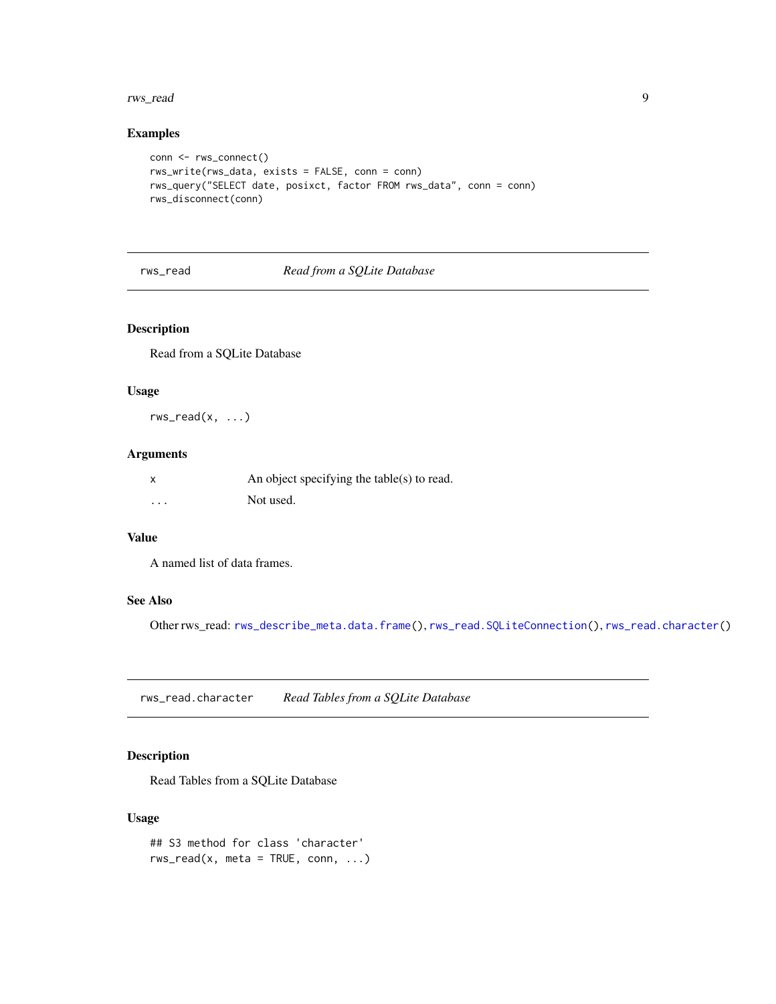#### <span id="page-8-0"></span>rws\_read 99.9 and 2012 12:00 and 2012 12:00 and 2012 12:00 and 2012 12:00 and 2012 12:00 and 2012 12:00 and 20

#### Examples

```
conn <- rws_connect()
rws_write(rws_data, exists = FALSE, conn = conn)
rws_query("SELECT date, posixct, factor FROM rws_data", conn = conn)
rws_disconnect(conn)
```
#### <span id="page-8-2"></span>rws\_read *Read from a SQLite Database*

#### Description

Read from a SQLite Database

#### Usage

 $rws_{read}(x, \ldots)$ 

#### Arguments

| x        | An object specifying the table(s) to read. |
|----------|--------------------------------------------|
| $\cdots$ | Not used.                                  |

#### Value

A named list of data frames.

#### See Also

Other rws\_read: [rws\\_describe\\_meta.data.frame\(](#page-5-2)), [rws\\_read.SQLiteConnection\(](#page-9-1)), [rws\\_read.character\(](#page-8-1))

<span id="page-8-1"></span>rws\_read.character *Read Tables from a SQLite Database*

#### Description

Read Tables from a SQLite Database

#### Usage

```
## S3 method for class 'character'
rws_{\text{read}}(x, \text{meta} = \text{TRUE}, \text{conn}, \dots)
```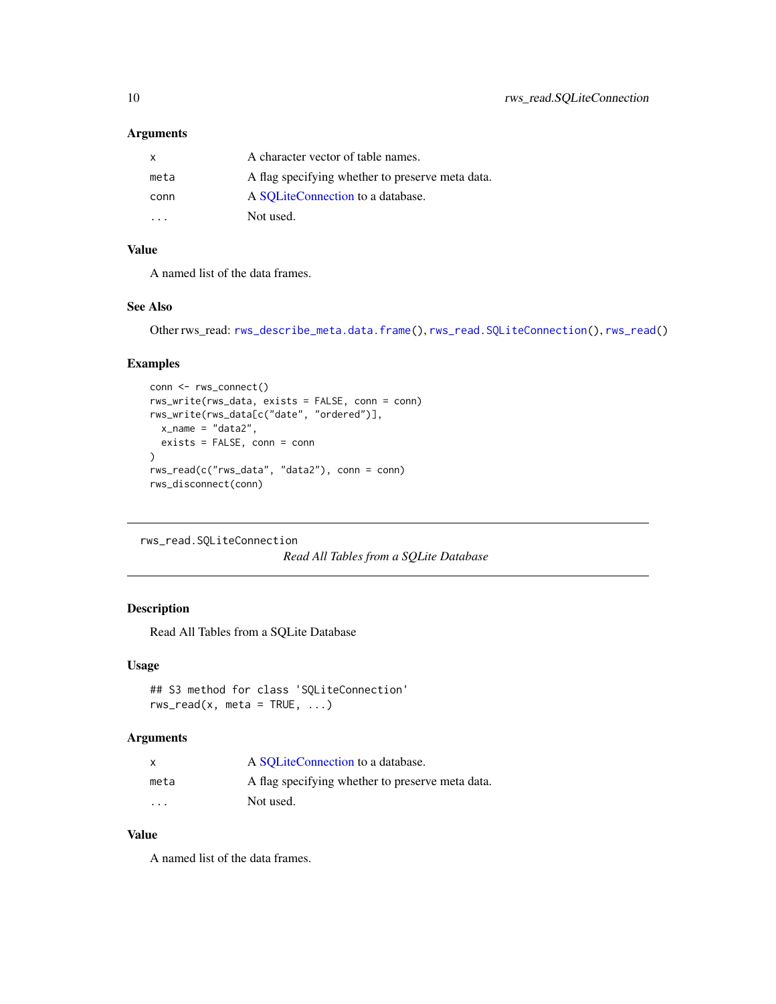#### <span id="page-9-0"></span>Arguments

| X.                      | A character vector of table names.               |
|-------------------------|--------------------------------------------------|
| meta                    | A flag specifying whether to preserve meta data. |
| conn                    | A SQLiteConnection to a database.                |
| $\cdot$ $\cdot$ $\cdot$ | Not used.                                        |

#### Value

A named list of the data frames.

#### See Also

Other rws\_read: [rws\\_describe\\_meta.data.frame\(](#page-5-2)), [rws\\_read.SQLiteConnection\(](#page-9-1)), [rws\\_read\(](#page-8-2))

#### Examples

```
conn <- rws_connect()
rws_write(rws_data, exists = FALSE, conn = conn)
rws_write(rws_data[c("date", "ordered")],
 x_name = "data2",
 exists = FALSE, conn = conn
)
rws_read(c("rws_data", "data2"), conn = conn)
rws_disconnect(conn)
```

```
rws_read.SQLiteConnection
```

```
Read All Tables from a SQLite Database
```
#### Description

Read All Tables from a SQLite Database

#### Usage

```
## S3 method for class 'SQLiteConnection'
rws_{\text{read}}(x, \text{meta} = \text{TRUE}, \dots)
```
#### Arguments

| x                    | A SOLiteConnection to a database.                |
|----------------------|--------------------------------------------------|
| meta                 | A flag specifying whether to preserve meta data. |
| $\ddot{\phantom{0}}$ | Not used.                                        |

#### Value

A named list of the data frames.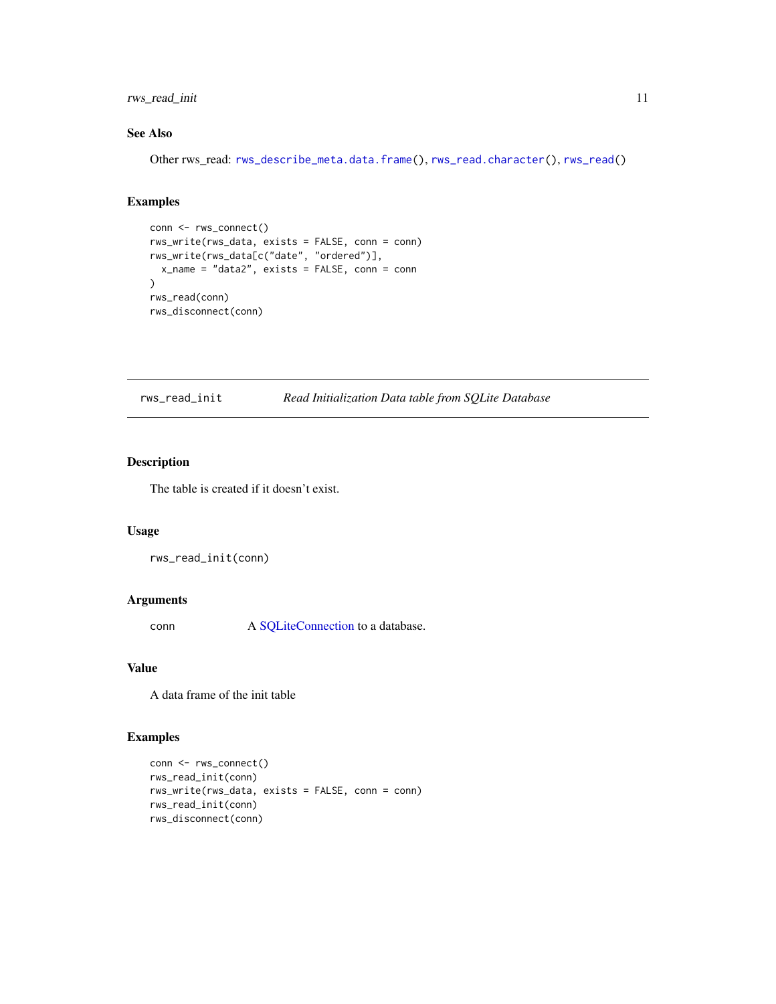#### <span id="page-10-0"></span>rws\_read\_init 11

#### See Also

Other rws\_read: [rws\\_describe\\_meta.data.frame\(](#page-5-2)), [rws\\_read.character\(](#page-8-1)), [rws\\_read\(](#page-8-2))

#### Examples

```
conn <- rws_connect()
rws_write(rws_data, exists = FALSE, conn = conn)
rws_write(rws_data[c("date", "ordered")],
 x_name = "data2", exists = FALSE, conn = conn
)
rws_read(conn)
rws_disconnect(conn)
```
rws\_read\_init *Read Initialization Data table from SQLite Database*

#### Description

The table is created if it doesn't exist.

#### Usage

rws\_read\_init(conn)

#### Arguments

conn A [SQLiteConnection](#page-0-0) to a database.

#### Value

A data frame of the init table

```
conn <- rws_connect()
rws_read_init(conn)
rws_write(rws_data, exists = FALSE, conn = conn)
rws_read_init(conn)
rws_disconnect(conn)
```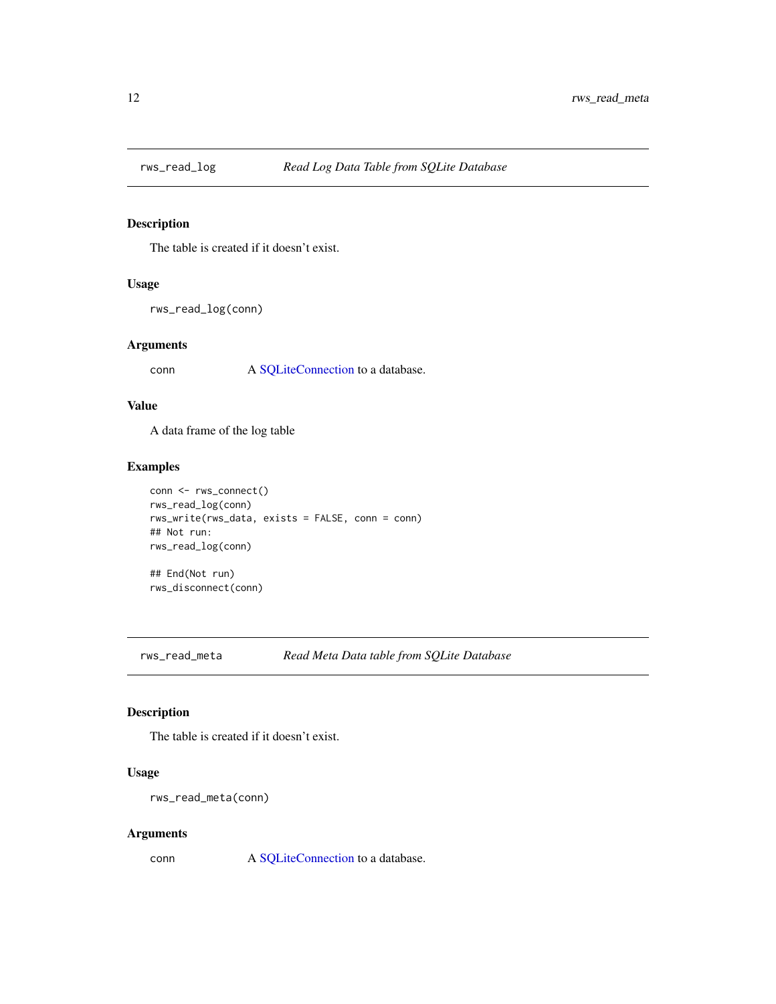<span id="page-11-0"></span>

#### Description

The table is created if it doesn't exist.

#### Usage

rws\_read\_log(conn)

#### Arguments

conn A [SQLiteConnection](#page-0-0) to a database.

#### Value

A data frame of the log table

#### Examples

```
conn <- rws_connect()
rws_read_log(conn)
rws_write(rws_data, exists = FALSE, conn = conn)
## Not run:
rws_read_log(conn)
## End(Not run)
```
rws\_disconnect(conn)

rws\_read\_meta *Read Meta Data table from SQLite Database*

#### Description

The table is created if it doesn't exist.

#### Usage

```
rws_read_meta(conn)
```
#### Arguments

conn A [SQLiteConnection](#page-0-0) to a database.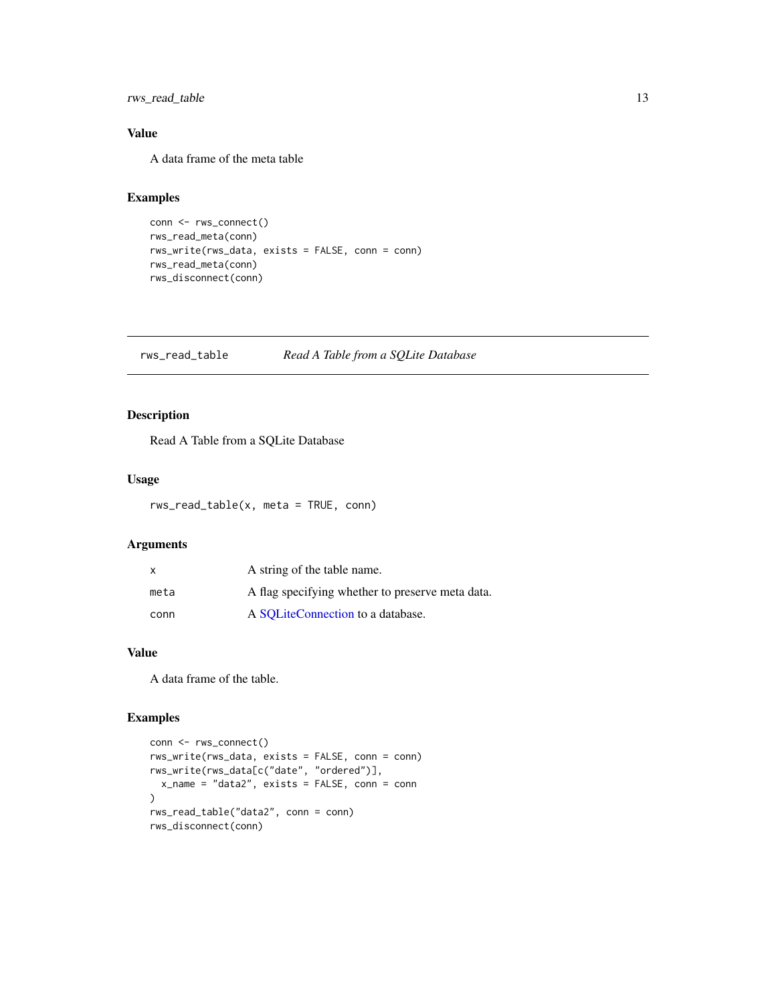#### <span id="page-12-0"></span>rws\_read\_table 13

#### Value

A data frame of the meta table

#### Examples

```
conn <- rws_connect()
rws_read_meta(conn)
rws_write(rws_data, exists = FALSE, conn = conn)
rws_read_meta(conn)
rws_disconnect(conn)
```
rws\_read\_table *Read A Table from a SQLite Database*

#### Description

Read A Table from a SQLite Database

#### Usage

rws\_read\_table(x, meta = TRUE, conn)

#### Arguments

| $\mathsf{x}$ | A string of the table name.                      |
|--------------|--------------------------------------------------|
| meta         | A flag specifying whether to preserve meta data. |
| conn         | A SOLiteConnection to a database.                |

#### Value

A data frame of the table.

```
conn <- rws_connect()
rws_write(rws_data, exists = FALSE, conn = conn)
rws_write(rws_data[c("date", "ordered")],
  x_name = "data2", exists = FALSE, conn = conn
)
rws_read_table("data2", conn = conn)
rws_disconnect(conn)
```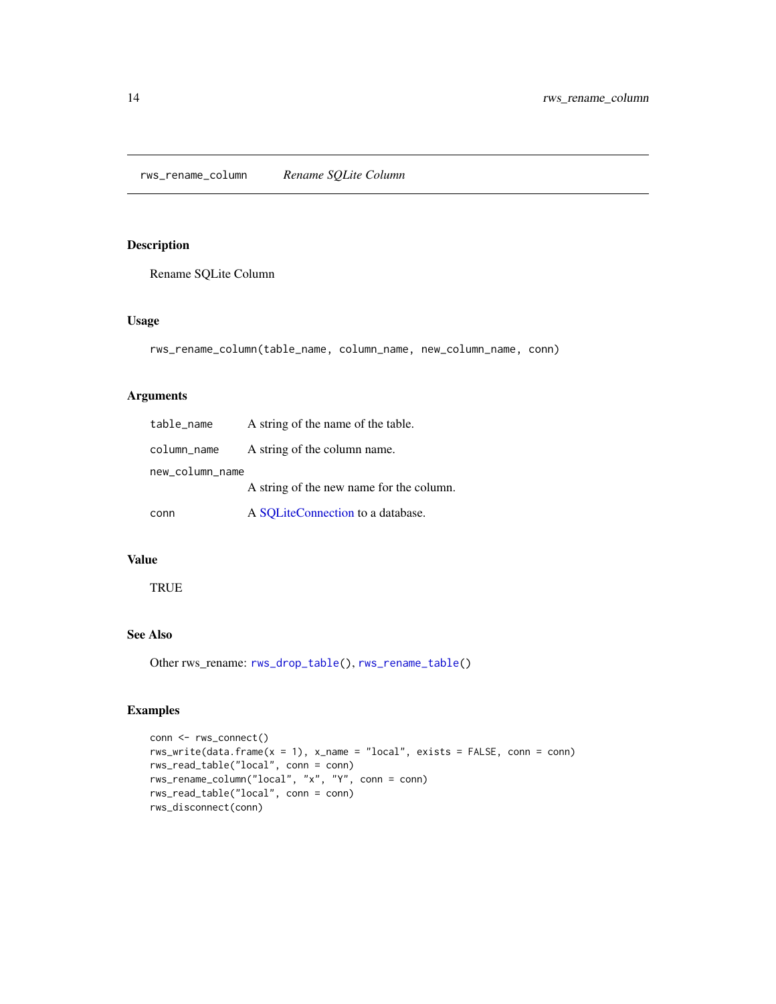<span id="page-13-1"></span><span id="page-13-0"></span>rws\_rename\_column *Rename SQLite Column*

#### Description

Rename SQLite Column

#### Usage

```
rws_rename_column(table_name, column_name, new_column_name, conn)
```
#### Arguments

| table_name      | A string of the name of the table.       |
|-----------------|------------------------------------------|
| column_name     | A string of the column name.             |
| new_column_name |                                          |
|                 | A string of the new name for the column. |
| conn            | A SQLiteConnection to a database.        |

#### Value

**TRUE** 

#### See Also

Other rws\_rename: [rws\\_drop\\_table\(](#page-6-1)), [rws\\_rename\\_table\(](#page-14-1))

```
conn <- rws_connect()
rws_write(data.frame(x = 1), x_name = "local", exists = FALSE, conn = conn)
rws_read_table("local", conn = conn)
rws_rename_column("local", "x", "Y", conn = conn)
rws_read_table("local", conn = conn)
rws_disconnect(conn)
```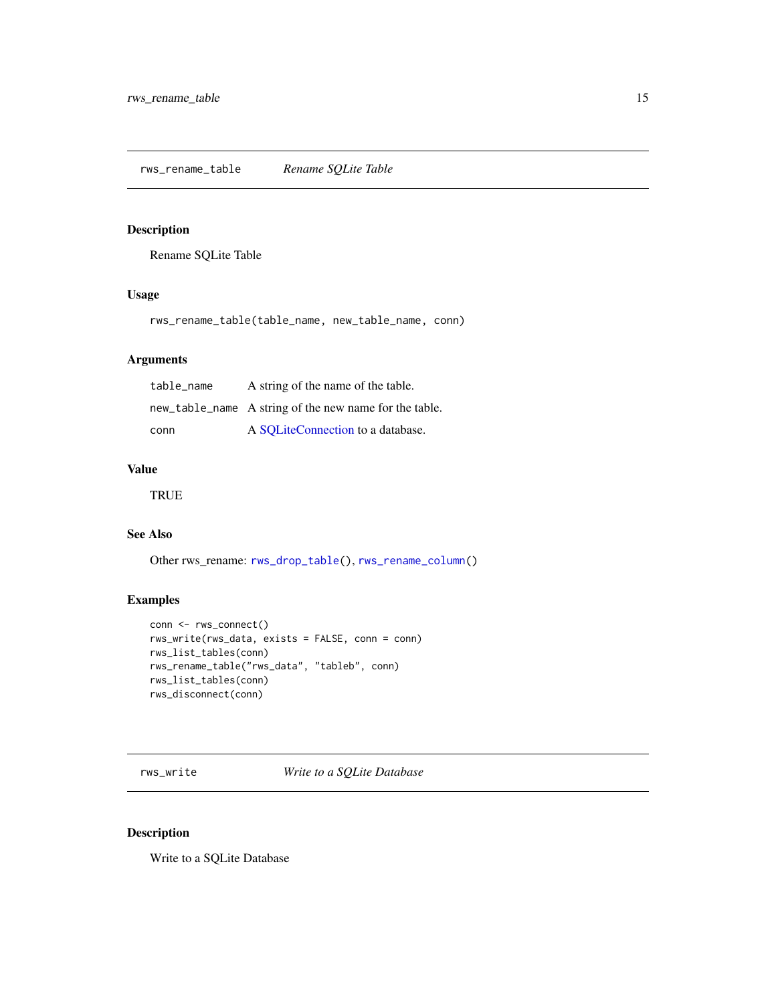#### <span id="page-14-1"></span><span id="page-14-0"></span>Description

Rename SQLite Table

#### Usage

rws\_rename\_table(table\_name, new\_table\_name, conn)

#### Arguments

| table name | A string of the name of the table.                     |
|------------|--------------------------------------------------------|
|            | new_table_name A string of the new name for the table. |
| conn       | A SOLiteConnection to a database.                      |

#### Value

**TRUE** 

#### See Also

Other rws\_rename: [rws\\_drop\\_table\(](#page-6-1)), [rws\\_rename\\_column\(](#page-13-1))

#### Examples

```
conn <- rws_connect()
rws_write(rws_data, exists = FALSE, conn = conn)
rws_list_tables(conn)
rws_rename_table("rws_data", "tableb", conn)
rws_list_tables(conn)
rws_disconnect(conn)
```
<span id="page-14-2"></span>rws\_write *Write to a SQLite Database*

#### Description

Write to a SQLite Database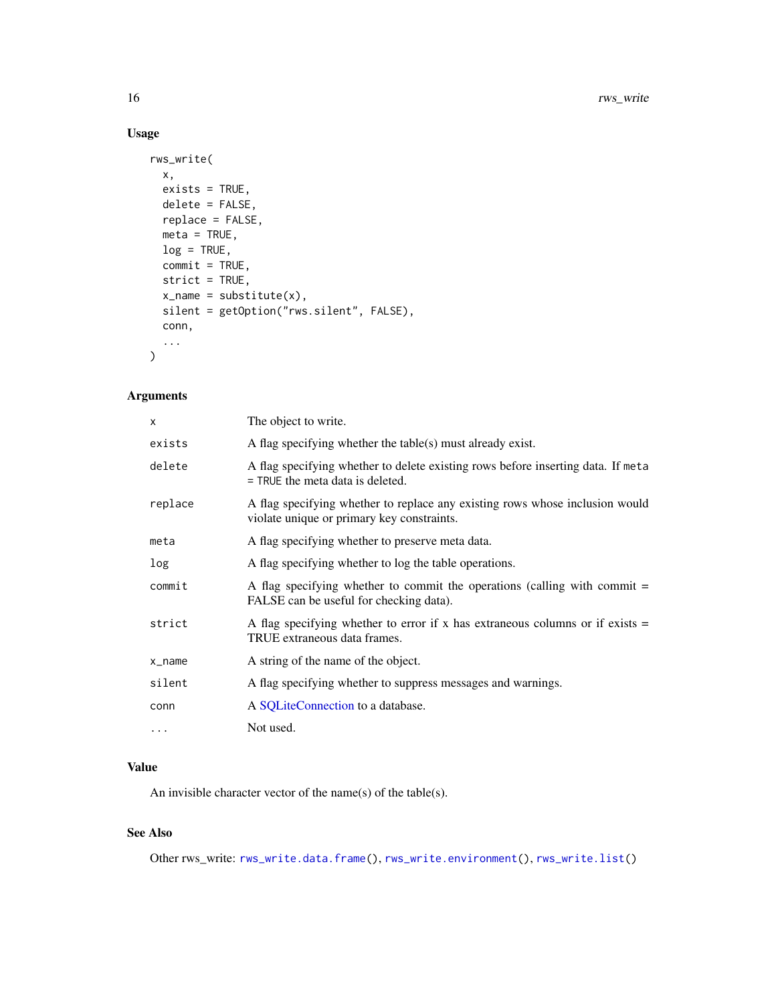#### Usage

```
rws_write(
 x,
 exists = TRUE,delete = FALSE,replace = FALSE,
 meta = TRUE,log = TRUE,commit = TRUE,strict = TRUE,
 x_name = substitute(x),
 silent = getOption("rws.silent", FALSE),
 conn,
  ...
\mathcal{L}
```
#### Arguments

| X        | The object to write.                                                                                                       |
|----------|----------------------------------------------------------------------------------------------------------------------------|
| exists   | A flag specifying whether the table(s) must already exist.                                                                 |
| delete   | A flag specifying whether to delete existing rows before inserting data. If meta<br>$=$ TRUE the meta data is deleted.     |
| replace  | A flag specifying whether to replace any existing rows whose inclusion would<br>violate unique or primary key constraints. |
| meta     | A flag specifying whether to preserve meta data.                                                                           |
| log      | A flag specifying whether to log the table operations.                                                                     |
| commit   | A flag specifying whether to commit the operations (calling with commit $=$<br>FALSE can be useful for checking data).     |
| strict   | A flag specifying whether to error if x has extraneous columns or if exists $=$<br>TRUE extraneous data frames.            |
| x_name   | A string of the name of the object.                                                                                        |
| silent   | A flag specifying whether to suppress messages and warnings.                                                               |
| conn     | A SQLiteConnection to a database.                                                                                          |
| $\cdots$ | Not used.                                                                                                                  |

#### Value

An invisible character vector of the name(s) of the table(s).

#### See Also

Other rws\_write: [rws\\_write.data.frame\(](#page-16-1)), [rws\\_write.environment\(](#page-17-1)), [rws\\_write.list\(](#page-19-1))

<span id="page-15-0"></span>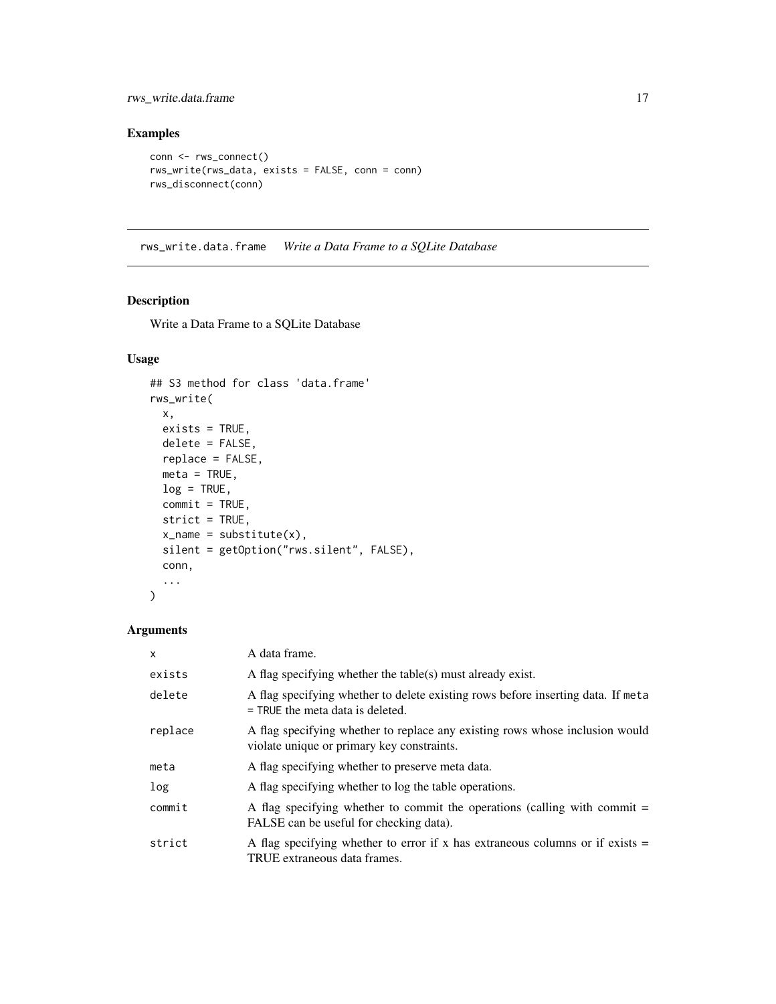<span id="page-16-0"></span>rws\_write.data.frame 17

#### Examples

```
conn <- rws_connect()
rws_write(rws_data, exists = FALSE, conn = conn)
rws_disconnect(conn)
```
<span id="page-16-1"></span>rws\_write.data.frame *Write a Data Frame to a SQLite Database*

#### Description

Write a Data Frame to a SQLite Database

#### Usage

```
## S3 method for class 'data.frame'
rws_write(
 x,
 exists = TRUE,
 delete = FALSE,
 replace = FALSE,
 meta = TRUE,log = TRUE,commit = TRUE,strict = TRUE,
 x_name = substitute(x),
 silent = getOption("rws.silent", FALSE),
 conn,
  ...
\mathcal{L}
```
#### Arguments

| $\mathsf{x}$ | A data frame.                                                                                                              |
|--------------|----------------------------------------------------------------------------------------------------------------------------|
| exists       | A flag specifying whether the table(s) must already exist.                                                                 |
| delete       | A flag specifying whether to delete existing rows before inserting data. If meta<br>$=$ TRUE the meta data is deleted.     |
| replace      | A flag specifying whether to replace any existing rows whose inclusion would<br>violate unique or primary key constraints. |
| meta         | A flag specifying whether to preserve meta data.                                                                           |
| log          | A flag specifying whether to log the table operations.                                                                     |
| commit       | A flag specifying whether to commit the operations (calling with commit $=$<br>FALSE can be useful for checking data).     |
| strict       | A flag specifying whether to error if x has extraneous columns or if exists $=$<br>TRUE extraneous data frames.            |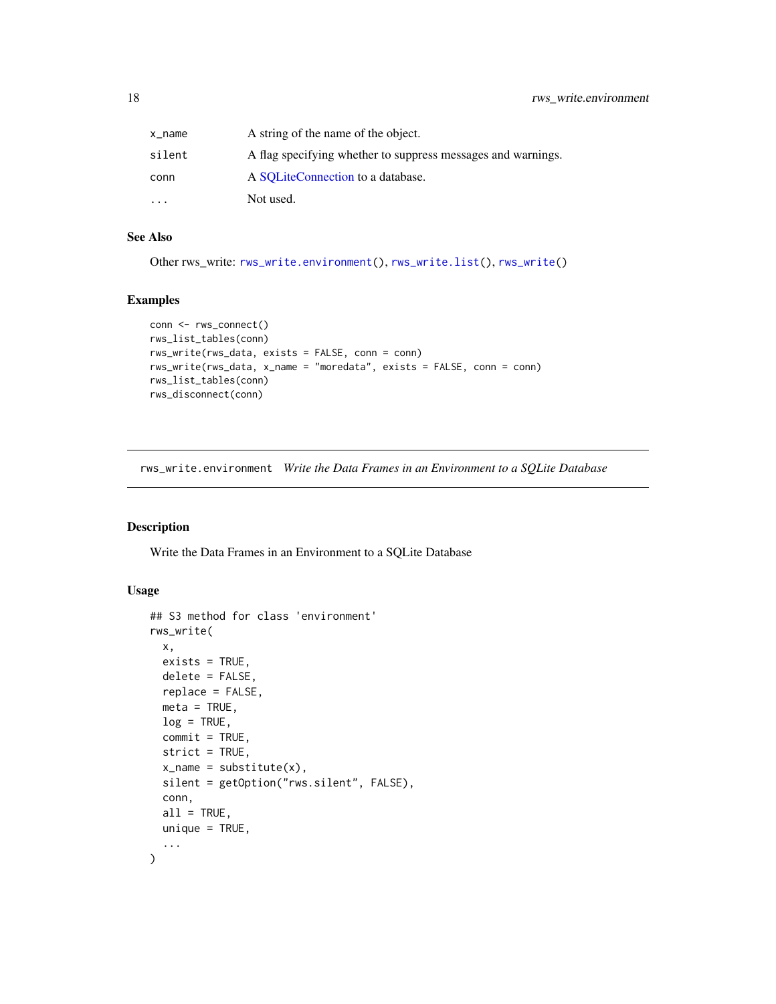<span id="page-17-0"></span>

| x_name    | A string of the name of the object.                          |
|-----------|--------------------------------------------------------------|
| silent    | A flag specifying whether to suppress messages and warnings. |
| conn      | A SOLiteConnection to a database.                            |
| $\ddotsc$ | Not used.                                                    |

#### See Also

Other rws\_write: [rws\\_write.environment\(](#page-17-1)), [rws\\_write.list\(](#page-19-1)), [rws\\_write\(](#page-14-2))

#### Examples

```
conn <- rws_connect()
rws_list_tables(conn)
rws_write(rws_data, exists = FALSE, conn = conn)
rws_write(rws_data, x_name = "moredata", exists = FALSE, conn = conn)
rws_list_tables(conn)
rws_disconnect(conn)
```
<span id="page-17-1"></span>rws\_write.environment *Write the Data Frames in an Environment to a SQLite Database*

#### Description

Write the Data Frames in an Environment to a SQLite Database

#### Usage

```
## S3 method for class 'environment'
rws_write(
 x,
 exists = TRUE,
 delete = FALSE,
 replace = FALSE,
 meta = TRUE,log = TRUE,commit = TRUE,strict = TRUE,
 x_name = substitute(x),
 silent = getOption("rws.silent", FALSE),
 conn,
 all = TRUE,unique = TRUE,...
)
```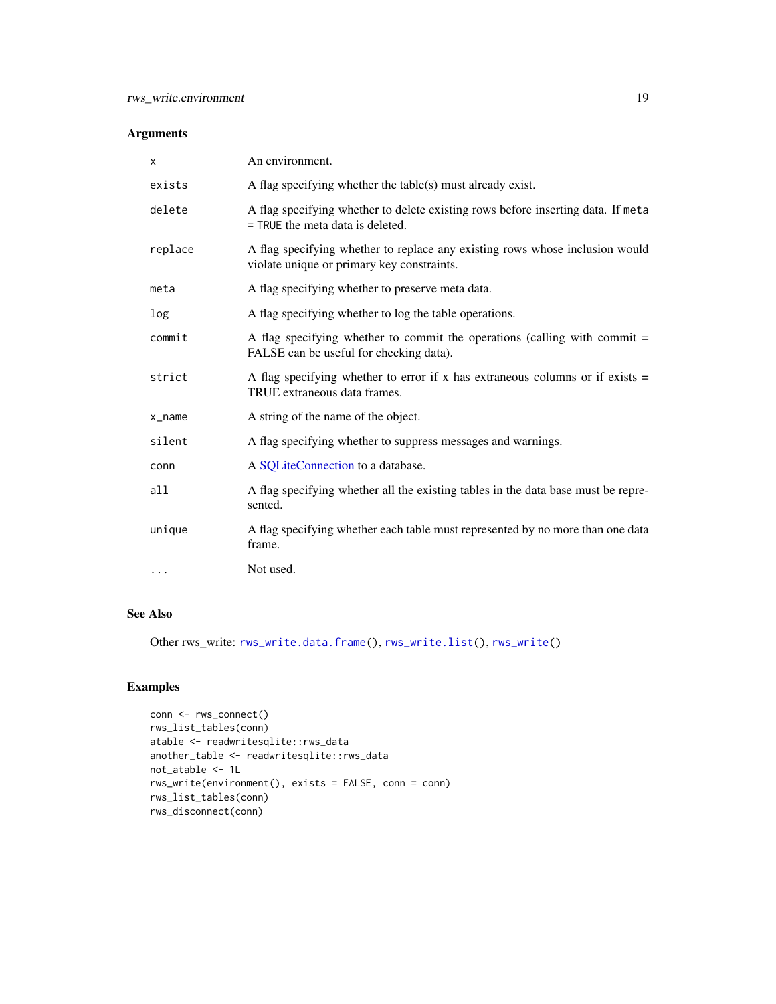#### <span id="page-18-0"></span>Arguments

| X        | An environment.                                                                                                            |
|----------|----------------------------------------------------------------------------------------------------------------------------|
| exists   | A flag specifying whether the table(s) must already exist.                                                                 |
| delete   | A flag specifying whether to delete existing rows before inserting data. If meta<br>$=$ TRUE the meta data is deleted.     |
| replace  | A flag specifying whether to replace any existing rows whose inclusion would<br>violate unique or primary key constraints. |
| meta     | A flag specifying whether to preserve meta data.                                                                           |
| log      | A flag specifying whether to log the table operations.                                                                     |
| commit   | A flag specifying whether to commit the operations (calling with commit $=$<br>FALSE can be useful for checking data).     |
| strict   | A flag specifying whether to error if x has extraneous columns or if exists $=$<br>TRUE extraneous data frames.            |
| x_name   | A string of the name of the object.                                                                                        |
| silent   | A flag specifying whether to suppress messages and warnings.                                                               |
| conn     | A SQLiteConnection to a database.                                                                                          |
| all      | A flag specifying whether all the existing tables in the data base must be repre-<br>sented.                               |
| unique   | A flag specifying whether each table must represented by no more than one data<br>frame.                                   |
| $\cdots$ | Not used.                                                                                                                  |

#### See Also

Other rws\_write: [rws\\_write.data.frame\(](#page-16-1)), [rws\\_write.list\(](#page-19-1)), [rws\\_write\(](#page-14-2))

```
conn <- rws_connect()
rws_list_tables(conn)
atable <- readwritesqlite::rws_data
another_table <- readwritesqlite::rws_data
not_atable <- 1L
rws_write(environment(), exists = FALSE, conn = conn)
rws_list_tables(conn)
rws_disconnect(conn)
```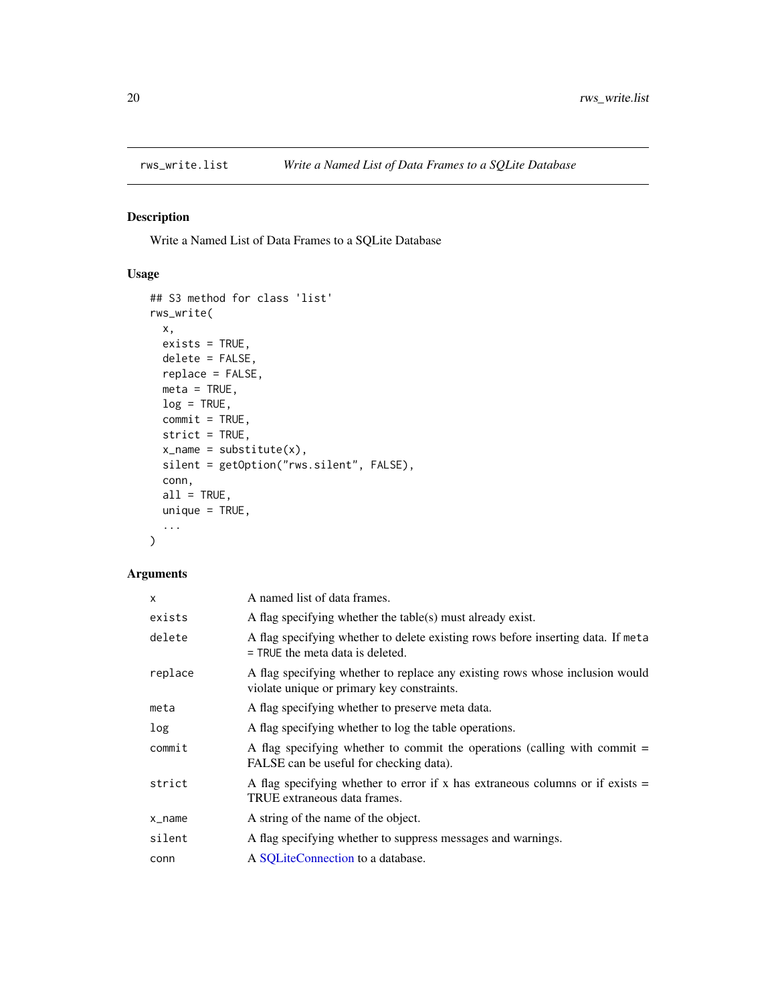<span id="page-19-1"></span><span id="page-19-0"></span>

#### Description

Write a Named List of Data Frames to a SQLite Database

#### Usage

```
## S3 method for class 'list'
rws_write(
 x,
 exists = TRUE,delete = FALSE,
 replace = FALSE,
 meta = TRUE,log = TRUE,commit = TRUE,strict = TRUE,
 x_name = substitute(x),
 silent = getOption("rws.silent", FALSE),
 conn,
 all = TRUE,unique = TRUE,...
\mathcal{L}
```
#### Arguments

| X       | A named list of data frames.                                                                                               |
|---------|----------------------------------------------------------------------------------------------------------------------------|
| exists  | A flag specifying whether the table(s) must already exist.                                                                 |
| delete  | A flag specifying whether to delete existing rows before inserting data. If meta<br>$=$ TRUE the meta data is deleted.     |
| replace | A flag specifying whether to replace any existing rows whose inclusion would<br>violate unique or primary key constraints. |
| meta    | A flag specifying whether to preserve meta data.                                                                           |
| log     | A flag specifying whether to log the table operations.                                                                     |
| commit  | A flag specifying whether to commit the operations (calling with commit $=$<br>FALSE can be useful for checking data).     |
| strict  | A flag specifying whether to error if x has extraneous columns or if exists $=$<br>TRUE extraneous data frames.            |
| x_name  | A string of the name of the object.                                                                                        |
| silent  | A flag specifying whether to suppress messages and warnings.                                                               |
| conn    | A SQLiteConnection to a database.                                                                                          |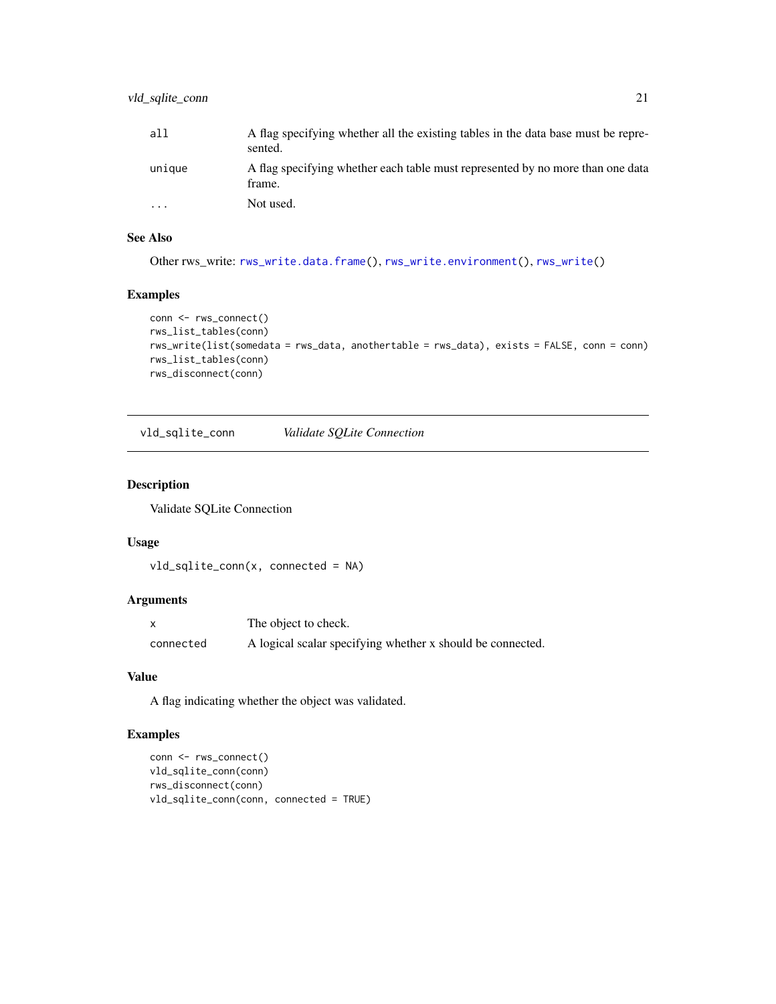<span id="page-20-0"></span>

| all       | A flag specifying whether all the existing tables in the data base must be repre-<br>sented. |
|-----------|----------------------------------------------------------------------------------------------|
| unique    | A flag specifying whether each table must represented by no more than one data<br>frame.     |
| $\ddotsc$ | Not used.                                                                                    |

#### See Also

Other rws\_write: [rws\\_write.data.frame\(](#page-16-1)), [rws\\_write.environment\(](#page-17-1)), [rws\\_write\(](#page-14-2))

#### Examples

```
conn <- rws_connect()
rws_list_tables(conn)
rws_write(list(somedata = rws_data, anothertable = rws_data), exists = FALSE, conn = conn)
rws_list_tables(conn)
rws_disconnect(conn)
```
vld\_sqlite\_conn *Validate SQLite Connection*

#### Description

Validate SQLite Connection

#### Usage

```
vld_sqlite_conn(x, connected = NA)
```
#### Arguments

|           | The object to check.                                       |
|-----------|------------------------------------------------------------|
| connected | A logical scalar specifying whether x should be connected. |

#### Value

A flag indicating whether the object was validated.

```
conn <- rws_connect()
vld_sqlite_conn(conn)
rws_disconnect(conn)
vld_sqlite_conn(conn, connected = TRUE)
```